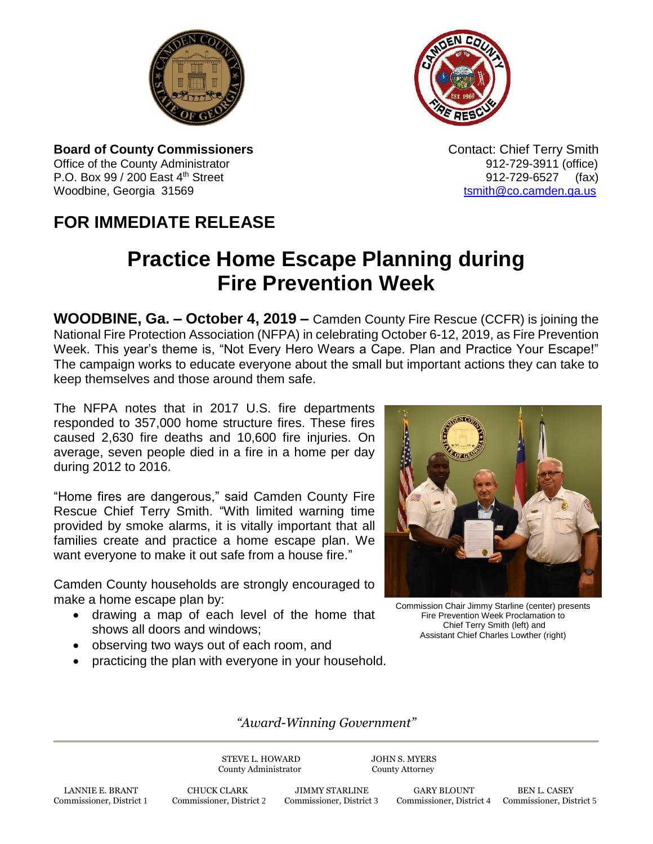



**Board of County Commissioners Contact: Chief Terry Smith Contact: Chief Terry Smith** Office of the County Administrator **912-729-3911** (office) P.O. Box 99 / 200 East 4<sup>th</sup> Street 912-729-6527 (fax) Woodbine, Georgia 31569 to the control of the control of the control of the control of the control of the control of the control of the control of the control of the control of the control of the control of the control of

## **FOR IMMEDIATE RELEASE**

## **Practice Home Escape Planning during Fire Prevention Week**

**WOODBINE, Ga. – October 4, 2019 –** Camden County Fire Rescue (CCFR) is joining the National Fire Protection Association (NFPA) in celebrating October 6-12, 2019, as Fire Prevention Week. This year's theme is, "Not Every Hero Wears a Cape. Plan and Practice Your Escape!" The campaign works to educate everyone about the small but important actions they can take to keep themselves and those around them safe.

The NFPA notes that in 2017 U.S. fire departments responded to 357,000 home structure fires. These fires caused 2,630 fire deaths and 10,600 fire injuries. On average, seven people died in a fire in a home per day during 2012 to 2016.

"Home fires are dangerous," said Camden County Fire Rescue Chief Terry Smith. "With limited warning time provided by smoke alarms, it is vitally important that all families create and practice a home escape plan. We want everyone to make it out safe from a house fire."

Camden County households are strongly encouraged to make a home escape plan by:

- drawing a map of each level of the home that shows all doors and windows;
- observing two ways out of each room, and
- practicing the plan with everyone in your household.



Commission Chair Jimmy Starline (center) presents Fire Prevention Week Proclamation to Chief Terry Smith (left) and Assistant Chief Charles Lowther (right)

*"Award-Winning Government"*

STEVE L. HOWARD JOHN S. MYERS County Administrator County Attorney

Commissioner, District 4 Commissioner, District 5